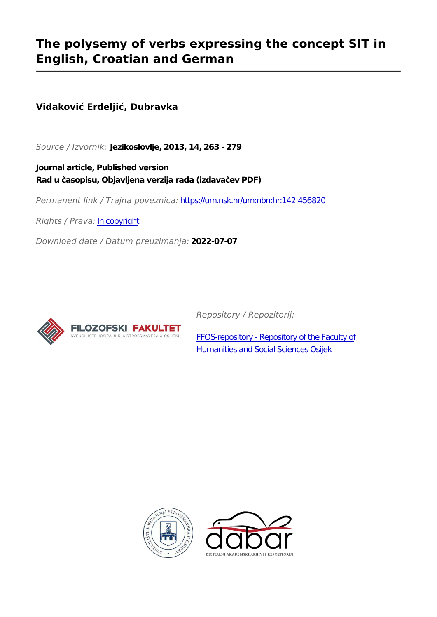# **The polysemy of verbs expressing the concept SIT in English, Croatian and German**

# **Vidaković Erdeljić, Dubravka**

*Source / Izvornik:* **Jezikoslovlje, 2013, 14, 263 - 279**

**Journal article, Published version Rad u časopisu, Objavljena verzija rada (izdavačev PDF)**

*Permanent link / Trajna poveznica:* <https://urn.nsk.hr/urn:nbn:hr:142:456820>

*Rights / Prava:* [In copyright](http://rightsstatements.org/vocab/InC/1.0/)

*Download date / Datum preuzimanja:* **2022-07-07**



*Repository / Repozitorij:*

[FFOS-repository - Repository of the Faculty of](https://repozitorij.ffos.hr) [Humanities and Social Sciences Osijek](https://repozitorij.ffos.hr)



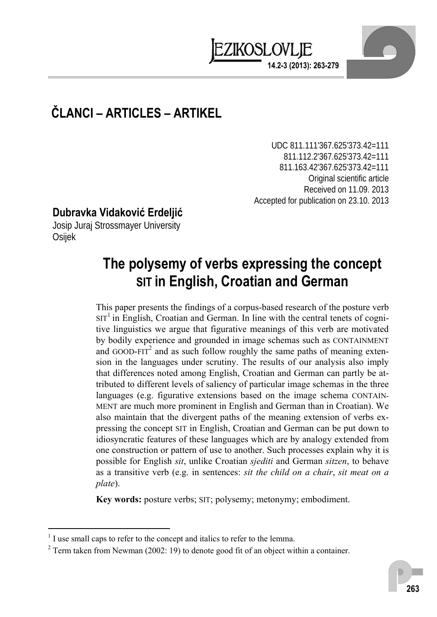

# **ČLANCI – ARTICLES – ARTIKEL**

UDC 811.111'367.625'373.42=111 811.112.2'367.625'373.42=111 811.163.42'367.625'373.42=111 Original scientific article Received on 11.09. 2013 Accepted for publication on 23.10. 2013

## **Dubravka Vidaković Erdeljić**

Josip Juraj Strossmayer University Osijek

# **The polysemy of verbs expressing the concept SIT in English, Croatian and German**

This paper presents the findings of a corpus-based research of the posture verb  $SIT<sup>1</sup>$  in English, Croatian and German. In line with the central tenets of cognitive linguistics we argue that figurative meanings of this verb are motivated by bodily experience and grounded in image schemas such as CONTAINMENT and GOOD-FIT<sup>2</sup> and as such follow roughly the same paths of meaning extension in the languages under scrutiny. The results of our analysis also imply that differences noted among English, Croatian and German can partly be attributed to different levels of saliency of particular image schemas in the three languages (e.g. figurative extensions based on the image schema CONTAIN-MENT are much more prominent in English and German than in Croatian). We also maintain that the divergent paths of the meaning extension of verbs expressing the concept SIT in English, Croatian and German can be put down to idiosyncratic features of these languages which are by analogy extended from one construction or pattern of use to another. Such processes explain why it is possible for English *sit*, unlike Croatian *sjediti* and German *sitzen*, to behave as a transitive verb (e.g. in sentences: *sit the child on a chair*, *sit meat on a plate*).

**Key words:** posture verbs; SIT; polysemy; metonymy; embodiment.

 $\overline{a}$ 

<sup>&</sup>lt;sup>1</sup> I use small caps to refer to the concept and italics to refer to the lemma.

 $2^2$  Term taken from Newman (2002: 19) to denote good fit of an object within a container.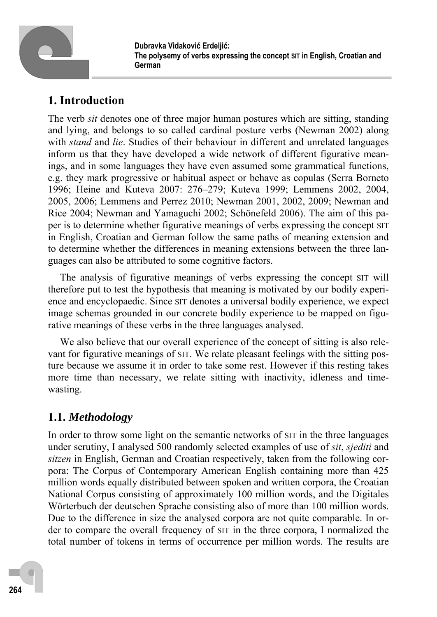

# **1. Introduction**

The verb *sit* denotes one of three major human postures which are sitting, standing and lying, and belongs to so called cardinal posture verbs (Newman 2002) along with *stand* and *lie*. Studies of their behaviour in different and unrelated languages inform us that they have developed a wide network of different figurative meanings, and in some languages they have even assumed some grammatical functions, e.g. they mark progressive or habitual aspect or behave as copulas (Serra Borneto 1996; Heine and Kuteva 2007: 276–279; Kuteva 1999; Lemmens 2002, 2004, 2005, 2006; Lemmens and Perrez 2010; Newman 2001, 2002, 2009; Newman and Rice 2004; Newman and Yamaguchi 2002; Schönefeld 2006). The aim of this paper is to determine whether figurative meanings of verbs expressing the concept SIT in English, Croatian and German follow the same paths of meaning extension and to determine whether the differences in meaning extensions between the three languages can also be attributed to some cognitive factors.

The analysis of figurative meanings of verbs expressing the concept SIT will therefore put to test the hypothesis that meaning is motivated by our bodily experience and encyclopaedic. Since SIT denotes a universal bodily experience, we expect image schemas grounded in our concrete bodily experience to be mapped on figurative meanings of these verbs in the three languages analysed.

We also believe that our overall experience of the concept of sitting is also relevant for figurative meanings of SIT. We relate pleasant feelings with the sitting posture because we assume it in order to take some rest. However if this resting takes more time than necessary, we relate sitting with inactivity, idleness and timewasting.

# **1.1.** *Methodology*

In order to throw some light on the semantic networks of SIT in the three languages under scrutiny, I analysed 500 randomly selected examples of use of *sit*, *sjediti* and *sitzen* in English, German and Croatian respectively, taken from the following corpora: The Corpus of Contemporary American English containing more than 425 million words equally distributed between spoken and written corpora, the Croatian National Corpus consisting of approximately 100 million words, and the Digitales Wörterbuch der deutschen Sprache consisting also of more than 100 million words. Due to the difference in size the analysed corpora are not quite comparable. In order to compare the overall frequency of SIT in the three corpora, I normalized the total number of tokens in terms of occurrence per million words. The results are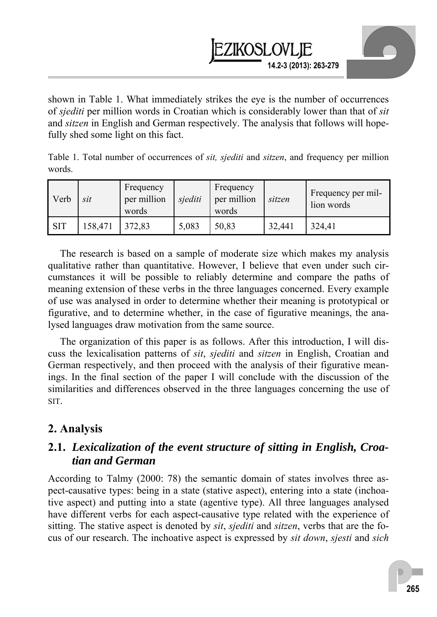

shown in Table 1. What immediately strikes the eye is the number of occurrences of *sjediti* per million words in Croatian which is considerably lower than that of *sit* and *sitzen* in English and German respectively. The analysis that follows will hopefully shed some light on this fact.

Table 1. Total number of occurrences of *sit, sjediti* and *sitzen*, and frequency per million words.

| Verb       | sit     | Frequency<br>per million<br>words | sjediti | Frequency<br>per million<br>words | sitzen | Frequency per mil-<br>lion words |
|------------|---------|-----------------------------------|---------|-----------------------------------|--------|----------------------------------|
| <b>SIT</b> | 158,471 | 372,83                            | 5,083   | 50,83                             | 32,441 | 324,41                           |

The research is based on a sample of moderate size which makes my analysis qualitative rather than quantitative. However, I believe that even under such circumstances it will be possible to reliably determine and compare the paths of meaning extension of these verbs in the three languages concerned. Every example of use was analysed in order to determine whether their meaning is prototypical or figurative, and to determine whether, in the case of figurative meanings, the analysed languages draw motivation from the same source.

The organization of this paper is as follows. After this introduction, I will discuss the lexicalisation patterns of *sit*, *sjediti* and *sitzen* in English, Croatian and German respectively, and then proceed with the analysis of their figurative meanings. In the final section of the paper I will conclude with the discussion of the similarities and differences observed in the three languages concerning the use of SIT.

## **2. Analysis**

### **2.1.** *Lexicalization of the event structure of sitting in English, Croatian and German*

According to Talmy (2000: 78) the semantic domain of states involves three aspect-causative types: being in a state (stative aspect), entering into a state (inchoative aspect) and putting into a state (agentive type). All three languages analysed have different verbs for each aspect-causative type related with the experience of sitting. The stative aspect is denoted by *sit*, *sjediti* and *sitzen*, verbs that are the focus of our research. The inchoative aspect is expressed by *sit down*, *sjesti* and *sich*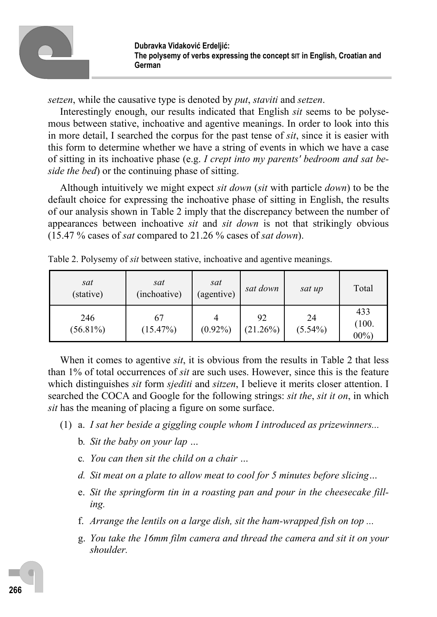

*setzen*, while the causative type is denoted by *put*, *staviti* and *setzen*.

Interestingly enough, our results indicated that English *sit* seems to be polysemous between stative, inchoative and agentive meanings. In order to look into this in more detail, I searched the corpus for the past tense of *sit*, since it is easier with this form to determine whether we have a string of events in which we have a case of sitting in its inchoative phase (e.g. *I crept into my parents' bedroom and sat beside the bed*) or the continuing phase of sitting.

Although intuitively we might expect *sit down* (*sit* with particle *down*) to be the default choice for expressing the inchoative phase of sitting in English, the results of our analysis shown in Table 2 imply that the discrepancy between the number of appearances between inchoative *sit* and *sit down* is not that strikingly obvious (15.47 % cases of *sat* compared to 21.26 % cases of *sat down*).

| sat<br>(stative)   | sat<br>(inchoative) | sat<br>(agentive) | sat down          | sat up           | Total                  |
|--------------------|---------------------|-------------------|-------------------|------------------|------------------------|
| 246<br>$(56.81\%)$ | 67<br>(15.47%)      | $(0.92\%)$        | 92<br>$(21.26\%)$ | 24<br>$(5.54\%)$ | 433<br>(100.<br>$00\%$ |

Table 2. Polysemy of *sit* between stative, inchoative and agentive meanings.

When it comes to agentive *sit*, it is obvious from the results in Table 2 that less than 1% of total occurrences of *sit* are such uses. However, since this is the feature which distinguishes *sit* form *sjediti* and *sitzen*, I believe it merits closer attention. I searched the COCA and Google for the following strings: *sit the*, *sit it on*, in which *sit* has the meaning of placing a figure on some surface.

- (1) a. *I sat her beside a giggling couple whom I introduced as prizewinners...* 
	- b*. Sit the baby on your lap …*
	- c*. You can then sit the child on a chair …*
	- *d. Sit meat on a plate to allow meat to cool for 5 minutes before slicing…*
	- e. *Sit the springform tin in a roasting pan and pour in the cheesecake filling.*
	- f. *Arrange the lentils on a large dish, sit the ham-wrapped fish on top ...*
	- g. *You take the 16mm film camera and thread the camera and sit it on your shoulder.*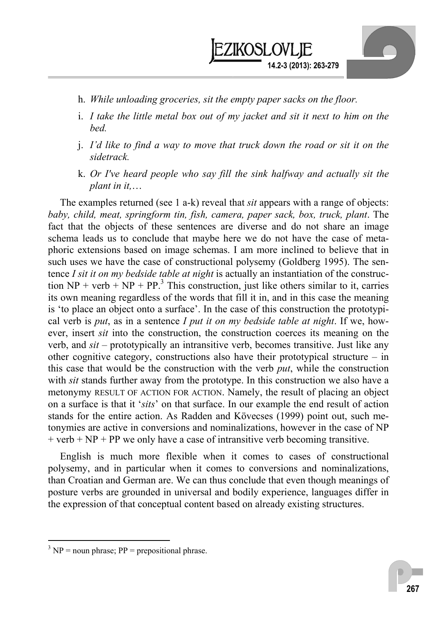

- h. *While unloading groceries, sit the empty paper sacks on the floor.*
- i. *I take the little metal box out of my jacket and sit it next to him on the bed.*
- j. *I'd like to find a way to move that truck down the road or sit it on the sidetrack.*
- k. *Or I've heard people who say fill the sink halfway and actually sit the plant in it,*…

The examples returned (see 1 a-k) reveal that *sit* appears with a range of objects: *baby, child, meat, springform tin, fish, camera, paper sack, box, truck, plant*. The fact that the objects of these sentences are diverse and do not share an image schema leads us to conclude that maybe here we do not have the case of metaphoric extensions based on image schemas. I am more inclined to believe that in such uses we have the case of constructional polysemy (Goldberg 1995). The sentence *I sit it on my bedside table at night* is actually an instantiation of the construction  $NP + verb + NP + PP$ <sup>3</sup>. This construction, just like others similar to it, carries its own meaning regardless of the words that fill it in, and in this case the meaning is 'to place an object onto a surface'. In the case of this construction the prototypical verb is *put*, as in a sentence *I put it on my bedside table at night*. If we, however, insert *sit* into the construction, the construction coerces its meaning on the verb, and *sit* – prototypically an intransitive verb, becomes transitive. Just like any other cognitive category, constructions also have their prototypical structure – in this case that would be the construction with the verb *put*, while the construction with *sit* stands further away from the prototype. In this construction we also have a metonymy RESULT OF ACTION FOR ACTION. Namely, the result of placing an object on a surface is that it '*sits*' on that surface. In our example the end result of action stands for the entire action. As Radden and Kövecses (1999) point out, such metonymies are active in conversions and nominalizations, however in the case of NP  $+$  verb  $+$  NP  $+$  PP we only have a case of intransitive verb becoming transitive.

English is much more flexible when it comes to cases of constructional polysemy, and in particular when it comes to conversions and nominalizations, than Croatian and German are. We can thus conclude that even though meanings of posture verbs are grounded in universal and bodily experience, languages differ in the expression of that conceptual content based on already existing structures.

 $\overline{a}$ 

 $3 NP =$  noun phrase;  $PP =$  prepositional phrase.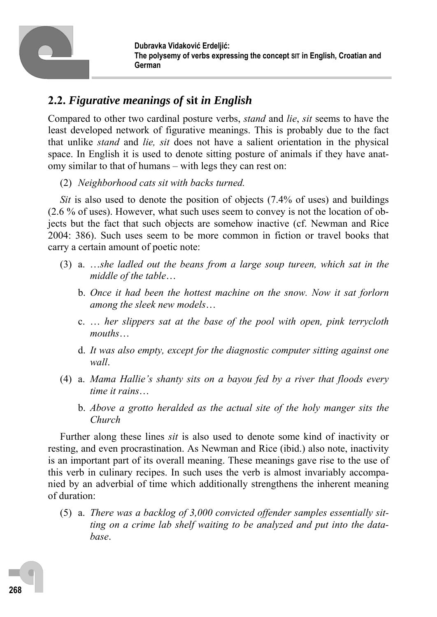# **2.2.** *Figurative meanings of* **sit** *in English*

Compared to other two cardinal posture verbs, *stand* and *lie*, *sit* seems to have the least developed network of figurative meanings. This is probably due to the fact that unlike *stand* and *lie, sit* does not have a salient orientation in the physical space. In English it is used to denote sitting posture of animals if they have anatomy similar to that of humans – with legs they can rest on:

(2) *Neighborhood cats sit with backs turned.* 

*Sit* is also used to denote the position of objects (7.4% of uses) and buildings (2.6 % of uses). However, what such uses seem to convey is not the location of objects but the fact that such objects are somehow inactive (cf. Newman and Rice 2004: 386). Such uses seem to be more common in fiction or travel books that carry a certain amount of poetic note:

- (3) a. …*she ladled out the beans from a large soup tureen, which sat in the middle of the table*…
	- b. *Once it had been the hottest machine on the snow. Now it sat forlorn among the sleek new models*…
	- c. … *her slippers sat at the base of the pool with open, pink terrycloth mouths*…
	- d. *It was also empty, except for the diagnostic computer sitting against one wall*.
- (4) a. *Mama Hallie's shanty sits on a bayou fed by a river that floods every time it rains*…
	- b. *Above a grotto heralded as the actual site of the holy manger sits the Church*

Further along these lines *sit* is also used to denote some kind of inactivity or resting, and even procrastination. As Newman and Rice (ibid.) also note, inactivity is an important part of its overall meaning. These meanings gave rise to the use of this verb in culinary recipes. In such uses the verb is almost invariably accompanied by an adverbial of time which additionally strengthens the inherent meaning of duration:

 (5) a. *There was a backlog of 3,000 convicted offender samples essentially sitting on a crime lab shelf waiting to be analyzed and put into the database*.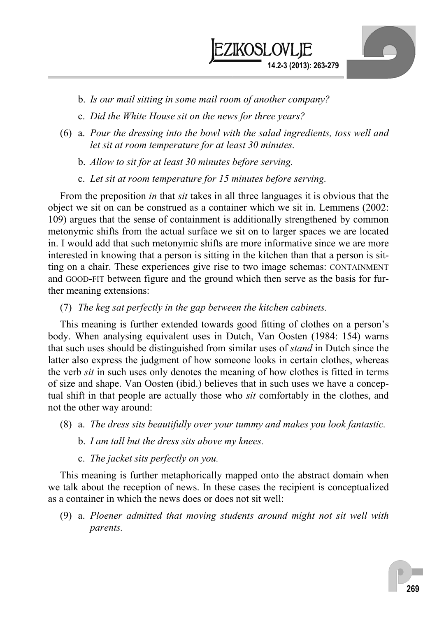

- b. *Is our mail sitting in some mail room of another company?*
- c. *Did the White House sit on the news for three years?*
- (6) a. *Pour the dressing into the bowl with the salad ingredients, toss well and let sit at room temperature for at least 30 minutes.*
	- b. *Allow to sit for at least 30 minutes before serving.*
	- c. *Let sit at room temperature for 15 minutes before serving.*

From the preposition *in* that *sit* takes in all three languages it is obvious that the object we sit on can be construed as a container which we sit in. Lemmens (2002: 109) argues that the sense of containment is additionally strengthened by common metonymic shifts from the actual surface we sit on to larger spaces we are located in. I would add that such metonymic shifts are more informative since we are more interested in knowing that a person is sitting in the kitchen than that a person is sitting on a chair. These experiences give rise to two image schemas: CONTAINMENT and GOOD-FIT between figure and the ground which then serve as the basis for further meaning extensions:

#### (7) *The keg sat perfectly in the gap between the kitchen cabinets.*

This meaning is further extended towards good fitting of clothes on a person's body. When analysing equivalent uses in Dutch, Van Oosten (1984: 154) warns that such uses should be distinguished from similar uses of *stand* in Dutch since the latter also express the judgment of how someone looks in certain clothes, whereas the verb *sit* in such uses only denotes the meaning of how clothes is fitted in terms of size and shape. Van Oosten (ibid.) believes that in such uses we have a conceptual shift in that people are actually those who *sit* comfortably in the clothes, and not the other way around:

- (8) a. *The dress sits beautifully over your tummy and makes you look fantastic.*
	- b. *I am tall but the dress sits above my knees.*
	- c. *The jacket sits perfectly on you.*

This meaning is further metaphorically mapped onto the abstract domain when we talk about the reception of news. In these cases the recipient is conceptualized as a container in which the news does or does not sit well:

 (9) a. *Ploener admitted that moving students around might not sit well with parents.*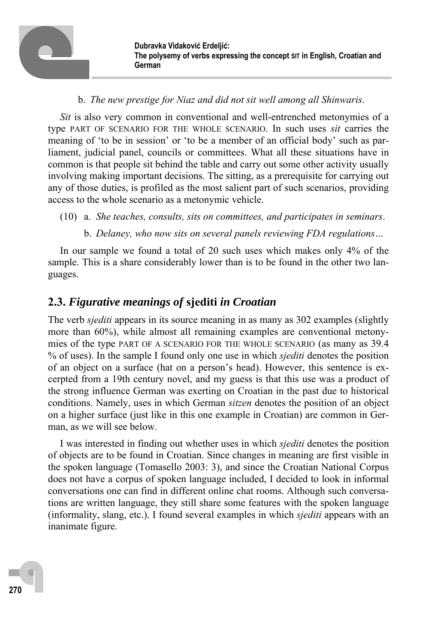

#### b. *The new prestige for Niaz and did not sit well among all Shinwaris*.

*Sit* is also very common in conventional and well-entrenched metonymies of a type PART OF SCENARIO FOR THE WHOLE SCENARIO. In such uses *sit* carries the meaning of 'to be in session' or 'to be a member of an official body' such as parliament, judicial panel, councils or committees. What all these situations have in common is that people sit behind the table and carry out some other activity usually involving making important decisions. The sitting, as a prerequisite for carrying out any of those duties, is profiled as the most salient part of such scenarios, providing access to the whole scenario as a metonymic vehicle.

- (10) a. *She teaches, consults, sits on committees, and participates in seminars*.
	- b. *Delaney, who now sits on several panels reviewing FDA regulations…*

In our sample we found a total of 20 such uses which makes only 4% of the sample. This is a share considerably lower than is to be found in the other two languages.

## **2.3.** *Figurative meanings of* **sjediti** *in Croatian*

The verb *sjediti* appears in its source meaning in as many as 302 examples (slightly more than 60%), while almost all remaining examples are conventional metonymies of the type PART OF A SCENARIO FOR THE WHOLE SCENARIO (as many as 39.4 % of uses). In the sample I found only one use in which *sjediti* denotes the position of an object on a surface (hat on a person's head). However, this sentence is excerpted from a 19th century novel, and my guess is that this use was a product of the strong influence German was exerting on Croatian in the past due to historical conditions. Namely, uses in which German *sitzen* denotes the position of an object on a higher surface (just like in this one example in Croatian) are common in German, as we will see below.

I was interested in finding out whether uses in which *sjediti* denotes the position of objects are to be found in Croatian. Since changes in meaning are first visible in the spoken language (Tomasello 2003: 3), and since the Croatian National Corpus does not have a corpus of spoken language included, I decided to look in informal conversations one can find in different online chat rooms. Although such conversations are written language, they still share some features with the spoken language (informality, slang, etc.). I found several examples in which *sjediti* appears with an inanimate figure.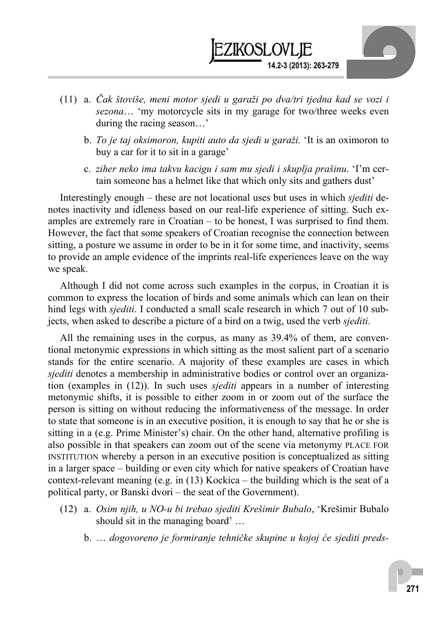

- (11) a. *Čak štoviše, meni motor sjedi u garaži po dva/tri tjedna kad se vozi i sezona*… 'my motorcycle sits in my garage for two/three weeks even during the racing season…'
	- b. *To je taj oksimoron, kupiti auto da sjedi u garaži.* 'It is an oximoron to buy a car for it to sit in a garage'
	- c. *ziher neko ima takvu kacigu i sam mu sjedi i skuplja prašinu*. 'I'm certain someone has a helmet like that which only sits and gathers dust'

Interestingly enough – these are not locational uses but uses in which *sjediti* denotes inactivity and idleness based on our real-life experience of sitting. Such examples are extremely rare in Croatian – to be honest, I was surprised to find them. However, the fact that some speakers of Croatian recognise the connection between sitting, a posture we assume in order to be in it for some time, and inactivity, seems to provide an ample evidence of the imprints real-life experiences leave on the way we speak.

Although I did not come across such examples in the corpus, in Croatian it is common to express the location of birds and some animals which can lean on their hind legs with *sjediti*. I conducted a small scale research in which 7 out of 10 subjects, when asked to describe a picture of a bird on a twig, used the verb *sjediti.*

All the remaining uses in the corpus, as many as 39.4% of them, are conventional metonymic expressions in which sitting as the most salient part of a scenario stands for the entire scenario. A majority of these examples are cases in which *sjediti* denotes a membership in administrative bodies or control over an organization (examples in (12)). In such uses *sjediti* appears in a number of interesting metonymic shifts, it is possible to either zoom in or zoom out of the surface the person is sitting on without reducing the informativeness of the message. In order to state that someone is in an executive position, it is enough to say that he or she is sitting in a (e.g. Prime Minister's) chair. On the other hand, alternative profiling is also possible in that speakers can zoom out of the scene via metonymy PLACE FOR INSTITUTION whereby a person in an executive position is conceptualized as sitting in a larger space – building or even city which for native speakers of Croatian have context-relevant meaning (e.g. in  $(13)$  Kockica – the building which is the seat of a political party, or Banski dvori – the seat of the Government).

- (12) a. *Osim njih, u NO-u bi trebao sjediti Krešimir Bubalo*, 'Krešimir Bubalo should sit in the managing board' …
	- b. … *dogovoreno je formiranje tehničke skupine u kojoj će sjediti preds-*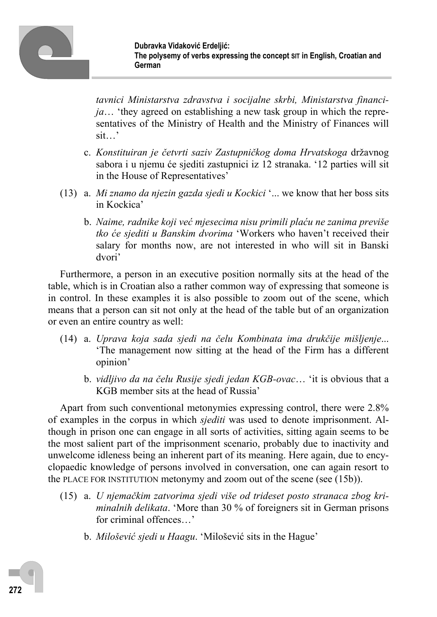

*tavnici Ministarstva zdravstva i socijalne skrbi, Ministarstva financija*… 'they agreed on establishing a new task group in which the representatives of the Ministry of Health and the Ministry of Finances will sit…'

- c. *Konstituiran je četvrti saziv Zastupničkog doma Hrvatskoga* državnog sabora i u njemu će sjediti zastupnici iz 12 stranaka. '12 parties will sit in the House of Representatives'
- (13) a. *Mi znamo da njezin gazda sjedi u Kockici* '... we know that her boss sits in Kockica'
	- b. *Naime, radnike koji već mjesecima nisu primili plaću ne zanima previše tko će sjediti u Banskim dvorima* 'Workers who haven't received their salary for months now, are not interested in who will sit in Banski dvori'

Furthermore, a person in an executive position normally sits at the head of the table, which is in Croatian also a rather common way of expressing that someone is in control. In these examples it is also possible to zoom out of the scene, which means that a person can sit not only at the head of the table but of an organization or even an entire country as well:

- (14) a. *Uprava koja sada sjedi na čelu Kombinata ima drukčije mišljenje*... 'The management now sitting at the head of the Firm has a different opinion'
	- b. *vidljivo da na čelu Rusije sjedi jedan KGB-ovac*… 'it is obvious that a KGB member sits at the head of Russia'

Apart from such conventional metonymies expressing control, there were 2.8% of examples in the corpus in which *sjediti* was used to denote imprisonment. Although in prison one can engage in all sorts of activities, sitting again seems to be the most salient part of the imprisonment scenario, probably due to inactivity and unwelcome idleness being an inherent part of its meaning. Here again, due to encyclopaedic knowledge of persons involved in conversation, one can again resort to the PLACE FOR INSTITUTION metonymy and zoom out of the scene (see (15b)).

- (15) a. *U njemačkim zatvorima sjedi više od trideset posto stranaca zbog kriminalnih delikata*. 'More than 30 % of foreigners sit in German prisons for criminal offences…'
	- b. *Milošević sjedi u Haagu*. 'Milošević sits in the Hague'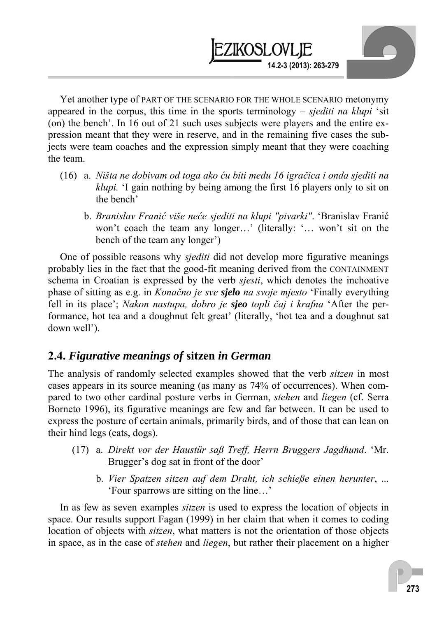Yet another type of PART OF THE SCENARIO FOR THE WHOLE SCENARIO metonymy appeared in the corpus, this time in the sports terminology – *sjediti na klupi* 'sit (on) the bench'. In 16 out of 21 such uses subjects were players and the entire expression meant that they were in reserve, and in the remaining five cases the subjects were team coaches and the expression simply meant that they were coaching the team.

**14.2-3 (2013): 263-279** 

KOSLOVLIE

- (16) a. *Ništa ne dobivam od toga ako ću biti među 16 igračica i onda sjediti na klupi.* 'I gain nothing by being among the first 16 players only to sit on the bench'
	- b. *Branislav Franić više neće sjediti na klupi "pivarki"*. 'Branislav Franić won't coach the team any longer…' (literally: '… won't sit on the bench of the team any longer')

One of possible reasons why *sjediti* did not develop more figurative meanings probably lies in the fact that the good-fit meaning derived from the CONTAINMENT schema in Croatian is expressed by the verb *sjesti*, which denotes the inchoative phase of sitting as e.g. in *Konačno je sve sjelo na svoje mjesto* 'Finally everything fell in its place'; *Nakon nastupa, dobro je sjeo topli čaj i krafna* 'After the performance, hot tea and a doughnut felt great' (literally, 'hot tea and a doughnut sat down well').

### **2.4.** *Figurative meanings of* **sitzen** *in German*

The analysis of randomly selected examples showed that the verb *sitzen* in most cases appears in its source meaning (as many as 74% of occurrences). When compared to two other cardinal posture verbs in German, *stehen* and *liegen* (cf. Serra Borneto 1996), its figurative meanings are few and far between. It can be used to express the posture of certain animals, primarily birds, and of those that can lean on their hind legs (cats, dogs).

- (17) a. *Direkt vor der Haustür saß Treff, Herrn Bruggers Jagdhund*. 'Mr. Brugger's dog sat in front of the door'
	- b. *Vier Spatzen sitzen auf dem Draht, ich schieße einen herunter*, ... 'Four sparrows are sitting on the line…'

In as few as seven examples *sitzen* is used to express the location of objects in space. Our results support Fagan (1999) in her claim that when it comes to coding location of objects with *sitzen*, what matters is not the orientation of those objects in space, as in the case of *stehen* and *liegen*, but rather their placement on a higher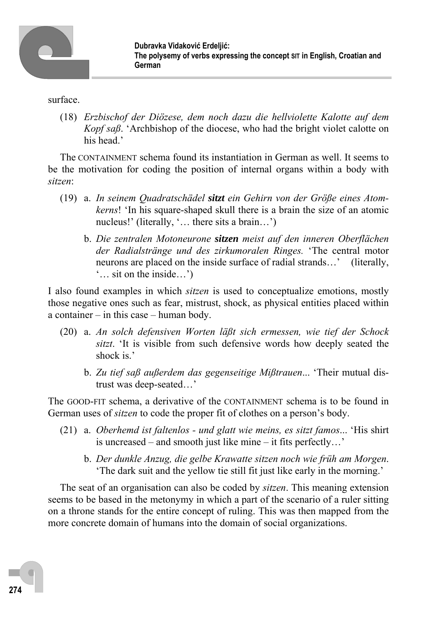

surface.

 (18) *Erzbischof der Diözese, dem noch dazu die hellviolette Kalotte auf dem Kopf saß*. 'Archbishop of the diocese, who had the bright violet calotte on his head.'

The CONTAINMENT schema found its instantiation in German as well. It seems to be the motivation for coding the position of internal organs within a body with *sitzen*:

- (19) a. *In seinem Quadratschädel sitzt ein Gehirn von der Größe eines Atomkerns*! 'In his square-shaped skull there is a brain the size of an atomic nucleus!' (literally, '… there sits a brain…')
	- b. *Die zentralen Motoneurone sitzen meist auf den inneren Oberflächen der Radialstränge und des zirkumoralen Ringes.* 'The central motor neurons are placed on the inside surface of radial strands…' (literally, '… sit on the inside…')

I also found examples in which *sitzen* is used to conceptualize emotions, mostly those negative ones such as fear, mistrust, shock, as physical entities placed within a container – in this case – human body.

- (20) a. *An solch defensiven Worten läßt sich ermessen, wie tief der Schock sitzt*. 'It is visible from such defensive words how deeply seated the shock is.'
	- b. *Zu tief saß außerdem das gegenseitige Mißtrauen*... 'Their mutual distrust was deep-seated…'

The GOOD-FIT schema, a derivative of the CONTAINMENT schema is to be found in German uses of *sitzen* to code the proper fit of clothes on a person's body.

- (21) a. *Oberhemd ist faltenlos und glatt wie meins, es sitzt famos*... 'His shirt is uncreased – and smooth just like mine – it fits perfectly…'
	- b. *Der dunkle Anzug, die gelbe Krawatte sitzen noch wie früh am Morgen*. 'The dark suit and the yellow tie still fit just like early in the morning.'

The seat of an organisation can also be coded by *sitzen*. This meaning extension seems to be based in the metonymy in which a part of the scenario of a ruler sitting on a throne stands for the entire concept of ruling. This was then mapped from the more concrete domain of humans into the domain of social organizations.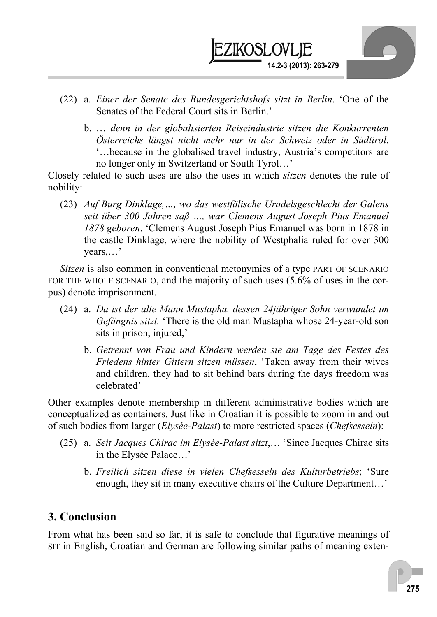

- (22) a. *Einer der Senate des Bundesgerichtshofs sitzt in Berlin*. 'One of the Senates of the Federal Court sits in Berlin.'
	- b. … *denn in der globalisierten Reiseindustrie sitzen die Konkurrenten Österreichs längst nicht mehr nur in der Schweiz oder in Südtirol*. '…because in the globalised travel industry, Austria's competitors are no longer only in Switzerland or South Tyrol…'

Closely related to such uses are also the uses in which *sitzen* denotes the rule of nobility:

 (23) *Auf Burg Dinklage,…, wo das westfälische Uradelsgeschlecht der Galens seit über 300 Jahren saß …, war Clemens August Joseph Pius Emanuel 1878 geboren*. 'Clemens August Joseph Pius Emanuel was born in 1878 in the castle Dinklage, where the nobility of Westphalia ruled for over 300 years,…'

*Sitzen* is also common in conventional metonymies of a type PART OF SCENARIO FOR THE WHOLE SCENARIO, and the majority of such uses (5.6% of uses in the corpus) denote imprisonment.

- (24) a. *Da ist der alte Mann Mustapha, dessen 24jähriger Sohn verwundet im Gefängnis sitzt,* 'There is the old man Mustapha whose 24-year-old son sits in prison, injured,'
	- b. *Getrennt von Frau und Kindern werden sie am Tage des Festes des Friedens hinter Gittern sitzen müssen*, 'Taken away from their wives and children, they had to sit behind bars during the days freedom was celebrated'

Other examples denote membership in different administrative bodies which are conceptualized as containers. Just like in Croatian it is possible to zoom in and out of such bodies from larger (*Elysée-Palast*) to more restricted spaces (*Chefsesseln*):

- (25) a. *Seit Jacques Chirac im Elysée-Palast sitzt*,… 'Since Jacques Chirac sits in the Elysée Palace…'
	- b. *Freilich sitzen diese in vielen Chefsesseln des Kulturbetriebs*; 'Sure enough, they sit in many executive chairs of the Culture Department…'

## **3. Conclusion**

From what has been said so far, it is safe to conclude that figurative meanings of SIT in English, Croatian and German are following similar paths of meaning exten-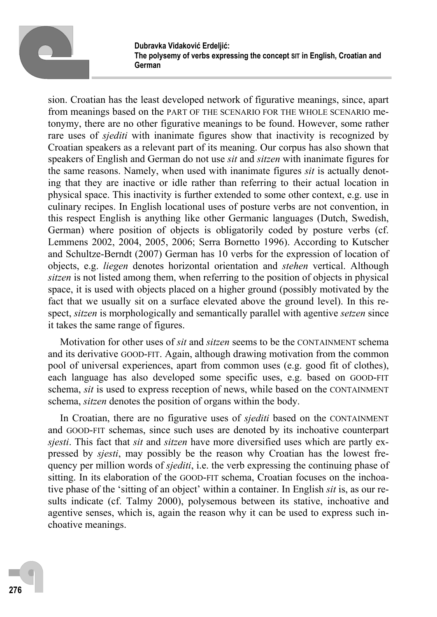

sion. Croatian has the least developed network of figurative meanings, since, apart from meanings based on the PART OF THE SCENARIO FOR THE WHOLE SCENARIO metonymy, there are no other figurative meanings to be found. However, some rather rare uses of *sjediti* with inanimate figures show that inactivity is recognized by Croatian speakers as a relevant part of its meaning. Our corpus has also shown that speakers of English and German do not use *sit* and *sitzen* with inanimate figures for the same reasons. Namely, when used with inanimate figures *sit* is actually denoting that they are inactive or idle rather than referring to their actual location in physical space. This inactivity is further extended to some other context, e.g. use in culinary recipes. In English locational uses of posture verbs are not convention, in this respect English is anything like other Germanic languages (Dutch, Swedish, German) where position of objects is obligatorily coded by posture verbs (cf. Lemmens 2002, 2004, 2005, 2006; Serra Bornetto 1996). According to Kutscher and Schultze-Berndt (2007) German has 10 verbs for the expression of location of objects, e.g. *liegen* denotes horizontal orientation and *stehen* vertical. Although *sitzen* is not listed among them, when referring to the position of objects in physical space, it is used with objects placed on a higher ground (possibly motivated by the fact that we usually sit on a surface elevated above the ground level). In this respect, *sitzen* is morphologically and semantically parallel with agentive *setzen* since it takes the same range of figures.

Motivation for other uses of *sit* and *sitzen* seems to be the CONTAINMENT schema and its derivative GOOD-FIT. Again, although drawing motivation from the common pool of universal experiences, apart from common uses (e.g. good fit of clothes), each language has also developed some specific uses, e.g. based on GOOD-FIT schema, *sit* is used to express reception of news, while based on the CONTAINMENT schema, *sitzen* denotes the position of organs within the body.

In Croatian, there are no figurative uses of *sjediti* based on the CONTAINMENT and GOOD-FIT schemas, since such uses are denoted by its inchoative counterpart *sjesti*. This fact that *sit* and *sitzen* have more diversified uses which are partly expressed by *sjesti*, may possibly be the reason why Croatian has the lowest frequency per million words of *sjediti*, i.e. the verb expressing the continuing phase of sitting. In its elaboration of the GOOD-FIT schema, Croatian focuses on the inchoative phase of the 'sitting of an object' within a container. In English *sit* is, as our results indicate (cf. Talmy 2000), polysemous between its stative, inchoative and agentive senses, which is, again the reason why it can be used to express such inchoative meanings.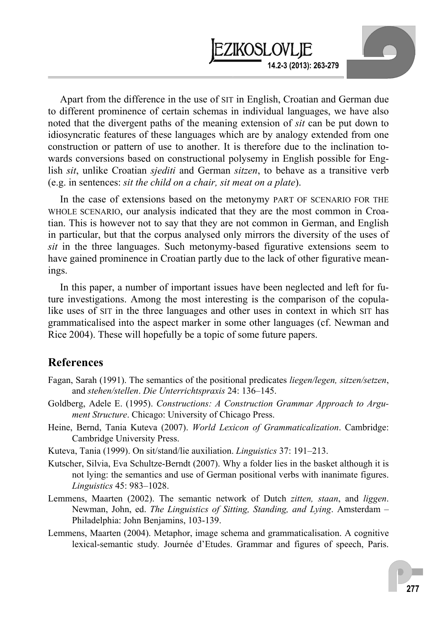Apart from the difference in the use of SIT in English, Croatian and German due to different prominence of certain schemas in individual languages, we have also noted that the divergent paths of the meaning extension of *sit* can be put down to idiosyncratic features of these languages which are by analogy extended from one construction or pattern of use to another. It is therefore due to the inclination towards conversions based on constructional polysemy in English possible for English *sit*, unlike Croatian *sjediti* and German *sitzen*, to behave as a transitive verb (e.g. in sentences: *sit the child on a chair, sit meat on a plate*).

**14.2-3 (2013): 263-279** 

**EZIKOSLOVLIE** 

In the case of extensions based on the metonymy PART OF SCENARIO FOR THE WHOLE SCENARIO, our analysis indicated that they are the most common in Croatian. This is however not to say that they are not common in German, and English in particular, but that the corpus analysed only mirrors the diversity of the uses of *sit* in the three languages. Such metonymy-based figurative extensions seem to have gained prominence in Croatian partly due to the lack of other figurative meanings.

In this paper, a number of important issues have been neglected and left for future investigations. Among the most interesting is the comparison of the copulalike uses of SIT in the three languages and other uses in context in which SIT has grammaticalised into the aspect marker in some other languages (cf. Newman and Rice 2004). These will hopefully be a topic of some future papers.

#### **References**

- Fagan, Sarah (1991). The semantics of the positional predicates *liegen/legen, sitzen/setzen*, and *stehen/stellen*. *Die Unterrichtspraxis* 24: 136–145.
- Goldberg, Adele E. (1995). *Constructions: A Construction Grammar Approach to Argument Structure*. Chicago: University of Chicago Press.
- Heine, Bernd, Tania Kuteva (2007). *World Lexicon of Grammaticalization*. Cambridge: Cambridge University Press.
- Kuteva, Tania (1999). On sit/stand/lie auxiliation. *Linguistics* 37: 191–213.
- Kutscher, Silvia, Eva Schultze-Berndt (2007). Why a folder lies in the basket although it is not lying: the semantics and use of German positional verbs with inanimate figures. *Linguistics* 45: 983–1028.
- Lemmens, Maarten (2002). The semantic network of Dutch *zitten, staan*, and *liggen*. Newman, John, ed. *The Linguistics of Sitting, Standing, and Lying*. Amsterdam – Philadelphia: John Benjamins, 103-139.
- Lemmens, Maarten (2004). Metaphor, image schema and grammaticalisation. A cognitive lexical-semantic study*.* Journée d'Etudes. Grammar and figures of speech, Paris.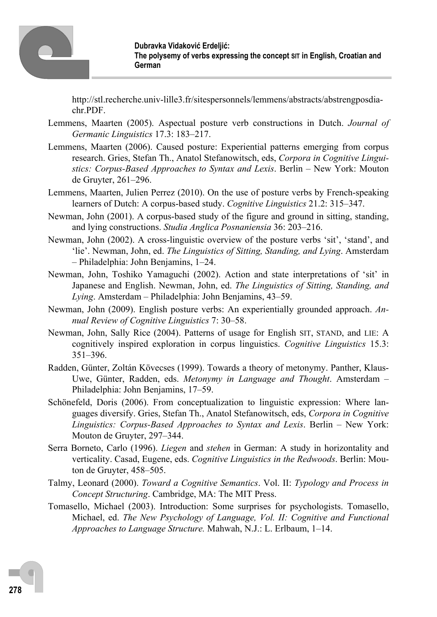

http://stl.recherche.univ-lille3.fr/sitespersonnels/lemmens/abstracts/abstrengposdiachr.PDF.

- Lemmens, Maarten (2005). Aspectual posture verb constructions in Dutch. *Journal of Germanic Linguistics* 17.3: 183–217.
- Lemmens, Maarten (2006). Caused posture: Experiential patterns emerging from corpus research. Gries, Stefan Th., Anatol Stefanowitsch, eds, *Corpora in Cognitive Linguistics: Corpus-Based Approaches to Syntax and Lexis*. Berlin – New York: Mouton de Gruyter, 261–296.
- Lemmens, Maarten, Julien Perrez (2010). On the use of posture verbs by French-speaking learners of Dutch: A corpus-based study. *Cognitive Linguistics* 21.2: 315–347.
- Newman, John (2001). A corpus-based study of the figure and ground in sitting, standing, and lying constructions. *Studia Anglica Posnaniensia* 36: 203–216.
- Newman, John (2002). A cross-linguistic overview of the posture verbs 'sit', 'stand', and 'lie'. Newman, John, ed. *The Linguistics of Sitting, Standing, and Lying*. Amsterdam – Philadelphia: John Benjamins, 1–24.
- Newman, John, Toshiko Yamaguchi (2002). Action and state interpretations of 'sit' in Japanese and English. Newman, John, ed. *The Linguistics of Sitting, Standing, and Lying*. Amsterdam – Philadelphia: John Benjamins, 43–59.
- Newman, John (2009). English posture verbs: An experientially grounded approach. *Annual Review of Cognitive Linguistics* 7: 30–58.
- Newman, John, Sally Rice (2004). Patterns of usage for English SIT, STAND, and LIE: A cognitively inspired exploration in corpus linguistics. *Cognitive Linguistics* 15.3: 351–396.
- Radden, Günter, Zoltán Kövecses (1999). Towards a theory of metonymy. Panther, Klaus-Uwe, Günter, Radden, eds. *Metonymy in Language and Thought*. Amsterdam – Philadelphia: John Benjamins, 17–59.
- Schönefeld, Doris (2006). From conceptualization to linguistic expression: Where languages diversify. Gries, Stefan Th., Anatol Stefanowitsch, eds, *Corpora in Cognitive Linguistics: Corpus-Based Approaches to Syntax and Lexis*. Berlin – New York: Mouton de Gruyter, 297–344.
- Serra Borneto, Carlo (1996). *Liegen* and *stehen* in German: A study in horizontality and verticality. Casad, Eugene, eds. *Cognitive Linguistics in the Redwoods*. Berlin: Mouton de Gruyter, 458–505.
- Talmy, Leonard (2000). *Toward a Cognitive Semantics*. Vol. II: *Typology and Process in Concept Structuring*. Cambridge, MA: The MIT Press.
- Tomasello, Michael (2003). Introduction: Some surprises for psychologists. Tomasello, Michael, ed. *The New Psychology of Language, Vol. II: Cognitive and Functional Approaches to Language Structure.* Mahwah, N.J.: L. Erlbaum, 1–14.